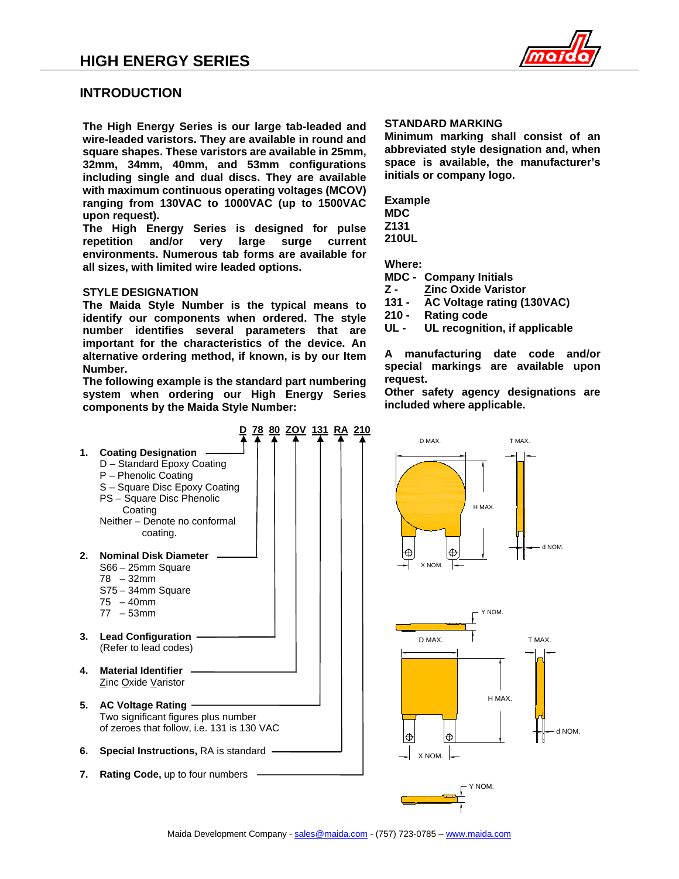

## **INTRODUCTION**

**The High Energy Series is our large tab-leaded and wire-leaded varistors. They are available in round and square shapes. These varistors are available in 25mm, 32mm, 34mm, 40mm, and 53mm configurations including single and dual discs. They are available with maximum continuous operating voltages (MCOV) ranging from 130VAC to 1000VAC (up to 1500VAC upon request).**

**The High Energy Series is designed for pulse repetition and/or very large surge current environments. Numerous tab forms are available for all sizes, with limited wire leaded options.**

### **STYLE DESIGNATION**

**The Maida Style Number is the typical means to identify our components when ordered. The style number identifies several parameters that are important for the characteristics of the device. An alternative ordering method, if known, is by our Item Number.**

**The following example is the standard part numbering system when ordering our High Energy Series components by the Maida Style Number:**

### **STANDARD MARKING**

**Minimum marking shall consist of an abbreviated style designation and, when space is available, the manufacturer's initials or company logo.**

**Example MDC Z131 210UL**

**Where:**

**MDC - Company Initials**

**Z - Zinc Oxide Varistor**

**131 - AC Voltage rating (130VAC)**

**210 - Rating code**

**UL - UL recognition, if applicable**

**A manufacturing date code and/or special markings are available upon request.**

**Other safety agency designations are included where applicable.**



Maida Development Company - [sales@maida.com](mailto:sales@maida.com) - (757) 723-0785 - www.maida.com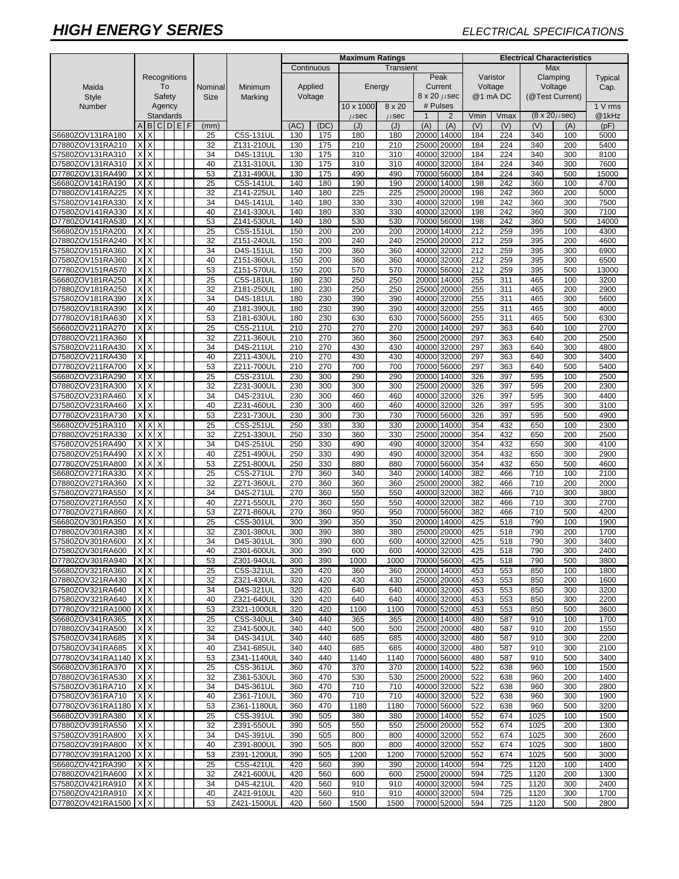# *HIGH ENERGY SERIES ELECTRICAL SPECIFICATIONS*

|                                      |                |               |           |  |  |             |                         | <b>Maximum Ratings</b>  |            |            |            | <b>Electrical Characteristics</b> |                            |            |            |              |                                |                |
|--------------------------------------|----------------|---------------|-----------|--|--|-------------|-------------------------|-------------------------|------------|------------|------------|-----------------------------------|----------------------------|------------|------------|--------------|--------------------------------|----------------|
|                                      |                |               |           |  |  |             |                         | Continuous<br>Transient |            |            |            |                                   | Max                        |            |            |              |                                |                |
|                                      |                | Recognitions  |           |  |  |             |                         |                         |            |            |            |                                   | Peak                       |            | Varistor   | Clamping     |                                | <b>Typical</b> |
| Maida                                | To             |               |           |  |  | Nominal     | Minimum                 | Applied                 |            |            | Energy     |                                   | Current                    | Voltage    |            |              | Voltage                        | Cap.           |
| <b>Style</b>                         |                |               | Safety    |  |  | <b>Size</b> | Marking                 | Voltage                 |            |            |            |                                   | $8 \times 20 \ \mu sec$    |            | @1 mADC    |              | (@Test Current)                |                |
| Number                               | Agency         |               |           |  |  |             |                         | 10 x 1000               | 8 x 20     |            | # Pulses   |                                   |                            |            |            | $1 V$ rms    |                                |                |
|                                      |                |               | Standards |  |  |             |                         |                         |            | $\mu$ sec  | $u$ sec    | 1                                 | $\overline{2}$             | Vmin       | Vmax       |              | $(8 \times 20 \mu \text{sec})$ | @1kHz          |
|                                      | $\overline{A}$ | B             | CDEF      |  |  | (mm)        |                         | (AC)                    | (DC)       | (J)        | (J)        | (A)                               | (A)                        | (V)        | (V)        | (V)          | (A)                            | (pF)           |
| S6680ZOV131RA180                     | $\times$       | X             |           |  |  | 25          | C5S-131UL               | 130                     | 175        | 180        | 180        | 20000                             | 14000                      | 184        | 224        | 340          | 100                            | 5000           |
| D7880ZOV131RA210                     | X              | Χ             |           |  |  | 32          | Z131-210UL              | 130                     | 175        | 210        | 210        | 25000                             | 20000                      | 184        | 224        | 340          | 200                            | 5400           |
| S7580ZOV131RA310                     | X              | X             |           |  |  | 34          | D4S-131UL               | 130                     | 175        | 310        | 310        | 40000                             | 32000                      | 184        | 224        | 340          | 300                            | 8100           |
| D7580ZOV131RA310                     | X              | Χ             |           |  |  | 40          | Z131-310UL              | 130                     | 175        | 310        | 310        | 40000                             | 32000                      | 184        | 224        | 340          | 300                            | 7600           |
| D7780ZOV131RA490                     |                | X             |           |  |  | 53          | Z131-490UL              | 130                     | 175        | 490        | 490        | 70000                             | 56000                      | 184        | 224        | 340          | 500                            | 15000          |
| S6680ZOV141RA190<br>D7880ZOV141RA225 | Х<br>X         | Χ             |           |  |  | 25<br>32    | C5S-141UL<br>Z141-225UL | 140<br>140              | 180<br>180 | 190<br>225 | 190<br>225 | 20000<br>25000                    | 14000<br>20000             | 198<br>198 | 242<br>242 | 360<br>360   | 100<br>200                     | 4700<br>5000   |
| S7580ZOV141RA330                     | X              | Χ<br>X        |           |  |  | 34          | D4S-141UL               | 140                     | 180        | 330        | 330        | 40000                             | 32000                      | 198        | 242        | 360          | 300                            | 7500           |
| D7580ZOV141RA330                     | X              | Χ             |           |  |  | 40          | Z141-330UL              | 140                     | 180        | 330        | 330        | 40000                             | 32000                      | 198        | 242        | 360          | 300                            | 7100           |
| D7780ZOV141RA530                     | $\times$       | X             |           |  |  | 53          | Z141-530UL              | 140                     | 180        | 530        | 530        | 70000                             | 56000                      | 198        | 242        | 360          | 500                            | 14000          |
| S6680ZOV151RA200                     | X              | Х             |           |  |  | 25          | C5S-151UL               | 150                     | 200        | 200        | 200        | 20000                             | 14000                      | 212        | 259        | 395          | 100                            | 4300           |
| D7880ZOV151RA240                     | X              | X             |           |  |  | 32          | Z151-240UL              | 150                     | 200        | 240        | 240        |                                   | 25000 20000                | 212        | 259        | 395          | 200                            | 4600           |
| S7580ZOV151RA360                     | X              | X             |           |  |  | 34          | D4S-151UL               | 150                     | 200        | 360        | 360        | 40000                             | 32000                      | 212        | 259        | 395          | 300                            | 6900           |
| D7580ZOV151RA360                     |                | X             |           |  |  | 40          | Z151-360UL              | 150                     | 200        | 360        | 360        | 40000                             | 32000                      | 212        | 259        | 395          | 300                            | 6500           |
| D7780ZOV151RA570                     | X              | X             |           |  |  | 53          | Z151-570UL              | 150                     | 200        | 570        | 570        | 70000                             | 56000                      | 212        | 259        | 395          | 500                            | 13000          |
| S6680ZOV181RA250                     | Х              | Χ             |           |  |  | 25          | C5S-181UL               | 180                     | 230        | 250        | 250        | 20000                             | 14000                      | 255        | 311        | 465          | 100                            | 3200           |
| D7880ZOV181RA250                     | X              | Χ             |           |  |  | 32          | Z181-250UL              | 180                     | 230        | 250        | 250        | 25000                             | 20000                      | 255        | 311        | 465          | 200                            | 2900           |
| S7580ZOV181RA390                     | X              | X             |           |  |  | 34          | D4S-181UL               | 180                     | 230        | 390        | 390        | 40000                             | 32000                      | 255        | 311        | 465          | 300                            | 5600           |
| D7580ZOV181RA390                     | X              | Χ             |           |  |  | 40          | Z181-390UL              | 180                     | 230        | 390        | 390        | 40000                             | 32000                      | 255        | 311        | 465          | 300                            | 4000           |
| D7780ZOV181RA630                     | X              | X             |           |  |  | 53          | Z181-630UL              | 180                     | 230        | 630        | 630        | 70000                             | 56000                      | 255        | 311        | 465          | 500                            | 6300           |
| S6680ZOV211RA270                     | X              | X             |           |  |  | 25          | C5S-211UL               | 210                     | 270        | 270        | 270        | 20000                             | 14000                      | 297        | 363        | 640          | 100                            | 2700           |
| D7880ZOV211RA360                     | X              |               |           |  |  | 32          | Z211-360UL              | 210                     | 270        | 360        | 360        | 25000                             | 20000                      | 297        | 363        | 640          | 200                            | 2500           |
| S7580ZOV211RA430                     | X              | X             |           |  |  | 34          | D4S-211UL               | 210                     | 270        | 430        | 430        |                                   | 40000 32000                | 297        | 363        | 640          | 300                            | 4800           |
| D7580ZOV211RA430                     | X              |               |           |  |  | 40          | Z211-430UL              | 210                     | 270        | 430        | 430        | 40000                             | 32000                      | 297        | 363        | 640          | 300                            | 3400           |
| D7780ZOV211RA700                     | X              | X             |           |  |  | 53          | Z211-700UL              | 210                     | 270        | 700        | 700        | 70000                             | 56000                      | 297        | 363        | 640          | 500                            | 5400           |
| S6680ZOV231RA290                     | X              | Χ             |           |  |  | 25          | C5S-231UL               | 230                     | 300        | 290        | 290        | 20000                             | 14000                      | 326        | 397        | 595          | 100                            | 2500           |
| D7880ZOV231RA300<br>S7580ZOV231RA460 | Χ<br>X         | X<br>Χ        |           |  |  | 32<br>34    | Z231-300UL<br>D4S-231UL | 230<br>230              | 300<br>300 | 300<br>460 | 300<br>460 | 25000<br>40000                    | 20000<br>32000             | 326<br>326 | 397<br>397 | 595<br>595   | 200<br>300                     | 2300<br>4400   |
| D7580ZOV231RA460                     | X              | X             |           |  |  | 40          | Z231-460UL              | 230                     | 300        | 460        | 460        | 40000                             | 32000                      | 326        | 397        | 595          | 300                            | 3100           |
| D7780ZOV231RA730                     | X              | X             |           |  |  | 53          | Z231-730UL              | 230                     | 300        | 730        | 730        | 70000                             | 56000                      | 326        | 397        | 595          | 500                            | 4900           |
| S6680ZOV251RA310                     | X              | $\times$      | ΙX        |  |  | 25          | C5S-251UL               | 250                     | 330        | 330        | 330        | 20000                             | 14000                      | 354        | 432        | 650          | 100                            | 2300           |
| D7880ZOV251RA330                     | $\times$       | X             | X         |  |  | 32          | Z251-330UL              | 250                     | 330        | 360        | 330        | 25000                             | 20000                      | 354        | 432        | 650          | 200                            | 2500           |
| S7580ZOV251RA490                     | X              | Χ             | X         |  |  | 34          | D4S-251UL               | 250                     | 330        | 490        | 490        | 40000                             | 32000                      | 354        | 432        | 650          | 300                            | 4100           |
| D7580ZOV251RA490                     | X              | X             | X         |  |  | 40          | Z251-490UL              | 250                     | 330        | 490        | 490        | 40000                             | 32000                      | 354        | 432        | 650          | 300                            | 2900           |
| D7780ZOV251RA800                     | X              | Χ             | X         |  |  | 53          | Z251-800UL              | 250                     | 330        | 880        | 880        | 70000 56000                       |                            | 354        | 432        | 650          | 500                            | 4600           |
| S6680ZOV271RA330                     | X              | Χ             |           |  |  | 25          | C5S-271UL               | 270                     | 360        | 340        | 340        | 20000                             | 14000                      | 382        | 466        | 710          | 100                            | 2100           |
| D7880ZOV271RA360                     | Χ              | Χ             |           |  |  | 32          | Z271-360UL              | 270                     | 360        | 360        | 360        | 25000                             | 20000                      | 382        | 466        | 710          | 200                            | 2000           |
| S7580ZOV271RA550                     | X              | X             |           |  |  | 34          | D4S-271UL               | 270                     | 360        | 550        | 550        | 40000                             | 32000                      | 382        | 466        | 710          | 300                            | 3800           |
| D7580ZOV271RA550                     | X              | Χ             |           |  |  | 40          | Z271-550UL              | 270                     | 360        | 550        | 550        | 40000                             | 32000                      | 382        | 466        | 710          | 300                            | 2700           |
| D7780ZOV271RA860                     | X              | X             |           |  |  | 53          | Z271-860UL              | 270                     | 360        | 950        | 950        | 70000                             | 56000                      | 382        | 466        | 710          | 500                            | 4200           |
| S6680ZOV301RA350                     | X              | X             |           |  |  | 25          | C5S-301UL               | 300                     | 390        | 350        | 350        | 20000                             | 14000                      | 425        | 518        | 790          | 100                            | 1900           |
| D7880ZOV301RA380                     | X              | X             |           |  |  | 32          | Z301-380UL              | 300                     | 390        | 380        | 380        | 25000                             | <b>20000</b>               | 425        | 518        | 790          | 200                            | 1700           |
| S7580ZOV301RA600                     | X              | X             |           |  |  | 34          | D4S-301UL               | 300                     | 390        | 600        | 600        | 40000                             | 32000                      | 425        | 518        | 790          | 300                            | 3400           |
| D7580ZOV301RA600                     | X X            |               |           |  |  | 40          | Z301-600UL              | 300                     | 390        | 600        | 600        |                                   | 40000 32000                | 425        | 518        | 790          | 300                            | 2400           |
| D7780ZOV301RA940                     | X X            |               |           |  |  | 53          | Z301-940UL              | 300                     | 390        | 1000       | 1000       |                                   | 70000 56000                | 425        | 518        | 790          | 500                            | 3800           |
| S6680ZOV321RA360                     | X              | ΙX            |           |  |  | 25          | C5S-321UL               | 320                     | 420        | 360        | 360        |                                   | 20000 14000                | 453        | 553        | 850          | 100                            | 1800           |
| D7880ZOV321RA430                     | $\times$       | $\times$      |           |  |  | 32          | Z321-430UL              | 320                     | 420        | 430        | 430        |                                   | 25000 20000                | 453        | 553        | 850          | 200                            | 1600           |
| S7580ZOV321RA640<br>D7580ZOV321RA640 | X<br>X         | Χ<br>$\times$ |           |  |  | 34<br>40    | D4S-321UL<br>Z321-640UL | 320<br>320              | 420<br>420 | 640<br>640 | 640<br>640 |                                   | 40000 32000<br>40000 32000 | 453<br>453 | 553<br>553 | 850<br>850   | 300<br>300                     | 3200<br>2200   |
| D7780ZOV321RA1000                    | X              | $\times$      |           |  |  | 53          | Z321-1000UL             | 320                     | 420        | 1100       | 1100       |                                   | 70000 52000                | 453        | 553        | 850          | 500                            | 3600           |
| S6680ZOV341RA365                     | XX             |               |           |  |  | 25          | C5S-340UL               | 340                     | 440        | 365        | 365        |                                   | 20000 14000                | 480        | 587        | 910          | 100                            | 1700           |
| D7880ZOV341RA500                     | X X            |               |           |  |  | 32          | Z341-500UL              | 340                     | 440        | 500        | 500        |                                   | 25000 20000                | 480        | 587        | 910          | 200                            | 1550           |
| S7580ZOV341RA685                     | XX             |               |           |  |  | 34          | D4S-341UL               | 340                     | 440        | 685        | 685        |                                   | 40000 32000                | 480        | 587        | 910          | 300                            | 2200           |
| D7580ZOV341RA685                     | XX             |               |           |  |  | 40          | Z341-685UL              | 340                     | 440        | 685        | 685        |                                   | 40000 32000                | 480        | 587        | 910          | 300                            | 2100           |
| D7780ZOV341RA1140                    | X              | $\times$      |           |  |  | 53          | Z341-1140UL             | 340                     | 440        | 1140       | 1140       |                                   | 70000 56000                | 480        | 587        | 910          | 500                            | 3400           |
| S6680ZOV361RA370                     | X X            |               |           |  |  | 25          | C5S-361UL               | 360                     | 470        | 370        | 370        |                                   | 20000 14000                | 522        | 638        | 960          | 100                            | 1500           |
| D7880ZOV361RA530                     | X              | ΙX            |           |  |  | 32          | Z361-530UL              | 360                     | 470        | 530        | 530        |                                   | 25000 20000                | 522        | 638        | 960          | 200                            | 1400           |
| S7580ZOV361RA710                     | X X            |               |           |  |  | 34          | D4S-361UL               | 360                     | 470        | 710        | 710        |                                   | 40000 32000                | 522        | 638        | 960          | 300                            | 2800           |
| D7580ZOV361RA710                     | X              | Х             |           |  |  | 40          | Z361-710UL              | 360                     | 470        | 710        | 710        |                                   | 40000 32000                | 522        | 638        | 960          | 300                            | 1900           |
| D7780ZOV361RA1180                    | X              | $\times$      |           |  |  | 53          | Z361-1180UL             | 360                     | 470        | 1180       | 1180       |                                   | 70000 56000                | 522        | 638        | 960          | 500                            | 3200           |
| S6680ZOV391RA380                     | X              | Х             |           |  |  | 25          | C5S-391UL               | 390                     | 505        | 380        | 380        |                                   | 20000 14000                | 552        | 674        | 1025         | 100                            | 1500           |
| D7880ZOV391RA550                     | Х              | $\times$      |           |  |  | 32          | Z391-550UL              | 390                     | 505        | 550        | 550        |                                   | 25000 20000                | 552        | 674        | 1025         | 200                            | 1300           |
| S7580ZOV391RA800                     | X              | $\times$      |           |  |  | 34          | D4S-391UL               | 390                     | 505        | 800        | 800        |                                   | 40000 32000                | 552        | 674        | 1025         | 300                            | 2600           |
| D7580ZOV391RA800                     | XX             |               |           |  |  | 40          | Z391-800UL              | 390                     | 505        | 800        | 800        |                                   | 40000 32000                | 552        | 674        | 1025         | 300                            | 1800           |
| D7780ZOV391RA1200                    | X X            |               |           |  |  | 53          | Z391-1200UL             | 390                     | 505        | 1200       | 1200       |                                   | 70000 52000                | 552        | 674        | 1025         | 500                            | 3000           |
| S6680ZOV421RA390                     | X X<br>X X     |               |           |  |  | 25          | C5S-421UL               | 420                     | 560        | 390<br>600 | 390        |                                   | 20000 14000<br>25000 20000 | 594        | 725<br>725 | 1120         | 100                            | 1400           |
| D7880ZOV421RA600<br>S7580ZOV421RA910 | X              | $\times$      |           |  |  | 32<br>34    | Z421-600UL<br>D4S-421UL | 420<br>420              | 560<br>560 | 910        | 600<br>910 |                                   | 40000 32000                | 594<br>594 | 725        | 1120<br>1120 | 200<br>300                     | 1300<br>2400   |
| D7580ZOV421RA910                     | X X            |               |           |  |  | 40          | Z421-910UL              | 420                     | 560        | 910        | 910        |                                   | 40000 32000                | 594        | 725        | 1120         | 300                            | 1700           |
| D7780ZOV421RA1500                    | X              | $\times$      |           |  |  | 53          | Z421-1500UL             | 420                     | 560        | 1500       | 1500       |                                   | 70000 52000                | 594        | 725        | 1120         | 500                            | 2800           |
|                                      |                |               |           |  |  |             |                         |                         |            |            |            |                                   |                            |            |            |              |                                |                |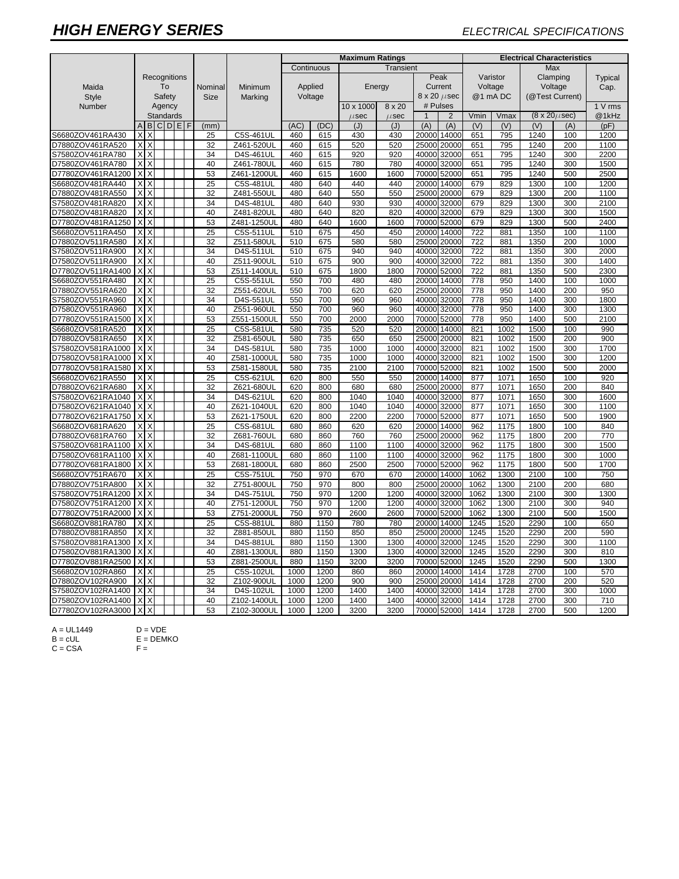# *HIGH ENERGY SERIES ELECTRICAL SPECIFICATIONS*

|                   |                    |           |             |  |         |         |                 |             | <b>Maximum Ratings</b>  |      |              |         | <b>Electrical Characteristics</b> |                         |         |          |      |                 |      |
|-------------------|--------------------|-----------|-------------|--|---------|---------|-----------------|-------------|-------------------------|------|--------------|---------|-----------------------------------|-------------------------|---------|----------|------|-----------------|------|
|                   |                    |           |             |  |         |         |                 |             | Continuous<br>Transient |      |              |         |                                   | Max                     |         |          |      |                 |      |
|                   | Recognitions<br>To |           |             |  | Nominal |         | Applied         |             |                         |      | Peak         |         | Varistor                          | Clamping                |         | Typical  |      |                 |      |
| Maida             |                    |           |             |  |         | Minimum |                 |             | Energy                  |      |              | Current | Voltage                           |                         | Voltage |          | Cap. |                 |      |
| <b>Style</b>      |                    |           | Safety      |  |         |         | <b>Size</b>     | Marking     | Voltage                 |      |              |         |                                   | $8 \times 20 \ \mu sec$ |         | @1 mA DC |      | (@Test Current) |      |
| Number            | Agency             |           |             |  |         |         |                 | 10 x 1000   | 8 x 20                  |      | # Pulses     |         |                                   |                         |         | 1 V rms  |      |                 |      |
|                   | Standards          |           |             |  |         |         | $\mu$ sec       | $\mu$ sec   | $\overline{2}$          |      | Vmin<br>Vmax |         | $(8 \times 20 \mu \sec)$          |                         | @1kHz   |          |      |                 |      |
|                   | A                  |           | <b>BCDE</b> |  |         | F       | (mm)            |             | (AC)                    | (DC) | (J)          | (J)     | (A)                               | (A)                     | (V)     | (V)      | (V)  | (A)             | (pF) |
| S6680ZOV461RA430  | X                  | Χ         |             |  |         |         | 25              | C5S-461UL   | 460                     | 615  | 430          | 430     | 20000                             | 14000                   | 651     | 795      | 1240 | 100             | 1200 |
| D7880ZOV461RA520  | X                  | X         |             |  |         |         | 32              | Z461-520UL  | 460                     | 615  | 520          | 520     | 25000                             | 20000                   | 651     | 795      | 1240 | 200             | 1100 |
| S7580ZOV461RA780  | $\times$           | $\times$  |             |  |         |         | 34              | D4S-461UL   | 460                     | 615  | 920          | 920     | 40000                             | 32000                   | 651     | 795      | 1240 | 300             | 2200 |
| D7580ZOV461RA780  | X                  | $\times$  |             |  |         |         | 40              | Z461-780UL  | 460                     | 615  | 780          | 780     | 40000                             | 32000                   | 651     | 795      | 1240 | 300             | 1500 |
| D7780ZOV461RA1200 | X                  | X         |             |  |         |         | 53              | Z461-1200UL | 460                     | 615  | 1600         | 1600    |                                   | 70000 52000             | 651     | 795      | 1240 | 500             | 2500 |
| S6680ZOV481RA440  | X                  | X         |             |  |         |         | 25              | C5S-481UL   | 480                     | 640  | 440          | 440     | 20000                             | 14000                   | 679     | 829      | 1300 | 100             | 1200 |
| D7880ZOV481RA550  | X                  | X         |             |  |         |         | 32              | Z481-550UL  | 480                     | 640  | 550          | 550     | 25000                             | 20000                   | 679     | 829      | 1300 | 200             | 1100 |
| S7580ZOV481RA820  | $\mathsf{x}$       | $\lambda$ |             |  |         |         | 34              | D4S-481UL   | 480                     | 640  | 930          | 930     | 40000                             | 32000                   | 679     | 829      | 1300 | 300             | 2100 |
| D7580ZOV481RA820  | X                  | X         |             |  |         |         | 40              | Z481-820UL  | 480                     | 640  | 820          | 820     | 40000                             | 32000                   | 679     | 829      | 1300 | 300             | 1500 |
| D7780ZOV481RA1250 | $\times$           | X         |             |  |         |         | 53              | Z481-1250UL | 480                     | 640  | 1600         | 1600    | 70000                             | 52000                   | 679     | 829      | 1300 | 500             | 2400 |
| S6680ZOV511RA450  | X                  | X         |             |  |         |         | 25              | C5S-511UL   | 510                     | 675  | 450          | 450     | 20000                             | 14000                   | 722     | 881      | 1350 | 100             | 1100 |
| D7880ZOV511RA580  | X                  | X         |             |  |         |         | 32              | Z511-580UL  | 510                     | 675  | 580          | 580     | 25000                             | 20000                   | 722     | 881      | 1350 | 200             | 1000 |
| S7580ZOV511RA900  | X                  | X         |             |  |         |         | 34              | D4S-511UL   | 510                     | 675  | 940          | 940     | 40000                             | 32000                   | 722     | 881      | 1350 | 300             | 2000 |
| D7580ZOV511RA900  | X                  | X         |             |  |         |         | 40              | Z511-900UL  | 510                     | 675  | 900          | 900     |                                   | 40000 32000             | 722     | 881      | 1350 | 300             | 1400 |
| D7780ZOV511RA1400 | X                  | X         |             |  |         |         | 53              | Z511-1400UL | 510                     | 675  | 1800         | 1800    | 70000                             | 52000                   | 722     | 881      | 1350 | 500             | 2300 |
| S6680ZOV551RA480  | X                  | Χ         |             |  |         |         | 25              | C5S-551UL   | 550                     | 700  | 480          | 480     | 20000                             | 14000                   | 778     | 950      | 1400 | 100             | 1000 |
| D7880ZOV551RA620  | X                  | $\lambda$ |             |  |         |         | 32              | Z551-620UL  | 550                     | 700  | 620          | 620     | 25000                             | 20000                   | 778     | 950      | 1400 | 200             | 950  |
| S7580ZOV551RA960  | X                  | X         |             |  |         |         | 34              | D4S-551UL   | 550                     | 700  | 960          | 960     | 40000                             | 32000                   | 778     | 950      | 1400 | 300             | 1800 |
| D7580ZOV551RA960  | X                  | Χ         |             |  |         |         | 40              | Z551-960UL  | 550                     | 700  | 960          | 960     | 40000                             | 32000                   | 778     | 950      | 1400 | 300             | 1300 |
| D7780ZOV551RA1500 | X                  | $\times$  |             |  |         |         | 53              | Z551-1500UL | 550                     | 700  | 2000         | 2000    | 70000                             | 52000                   | 778     | 950      | 1400 | 500             | 2100 |
| S6680ZOV581RA520  | Х                  | $\times$  |             |  |         |         | 25              | C5S-581UL   | 580                     | 735  | 520          | 520     | 20000                             | 14000                   | 821     | 1002     | 1500 | 100             | 990  |
| D7880ZOV581RA650  | $\lambda$          | $\times$  |             |  |         |         | 32              | Z581-650UL  | 580                     | 735  | 650          | 650     | 25000                             | 20000                   | 821     | 1002     | 1500 | 200             | 900  |
| S7580ZOV581RA1000 | X                  | X         |             |  |         |         | 34              | D4S-581UL   | 580                     | 735  | 1000         | 1000    | 40000                             | 32000                   | 821     | 1002     | 1500 | 300             | 1700 |
| D7580ZOV581RA1000 | X                  | X         |             |  |         |         | 40              | Z581-1000UL | 580                     | 735  | 1000         | 1000    | 40000                             | 32000                   | 821     | 1002     | 1500 | 300             | 1200 |
| D7780ZOV581RA1580 | x                  | X         |             |  |         |         | 53              | Z581-1580UL | 580                     | 735  | 2100         | 2100    | 70000                             | 52000                   | 821     | 1002     | 1500 | 500             | 2000 |
| S6680ZOV621RA550  | Х                  | X         |             |  |         |         | 25              | C5S-621UL   | 620                     | 800  | 550          | 550     | 20000                             | 14000                   | 877     | 1071     | 1650 | 100             | 920  |
| D7880ZOV621RA680  | X                  | X         |             |  |         |         | 32              | Z621-680UL  | 620                     | 800  | 680          | 680     | 25000                             | 20000                   | 877     | 1071     | 1650 | 200             | 840  |
| S7580ZOV621RA1040 | X                  | X         |             |  |         |         | 34              | D4S-621UL   | 620                     | 800  | 1040         | 1040    | 40000                             | 32000                   | 877     | 1071     | 1650 | 300             | 1600 |
| D7580ZOV621RA1040 | X.                 | X         |             |  |         |         | 40              | Z621-1040UI | 620                     | 800  | 1040         | 1040    | 40000                             | 32000                   | 877     | 1071     | 1650 | 300             | 1100 |
| D7780ZOV621RA1750 |                    | χ         |             |  |         |         | 53              | Z621-1750UL | 620                     | 800  | 2200         | 2200    |                                   | 70000 52000             | 877     | 1071     | 1650 | 500             | 1900 |
| S6680ZOV681RA620  | Х                  | X         |             |  |         |         | $\overline{25}$ | C5S-681UL   | 680                     | 860  | 620          | 620     |                                   | 20000 14000             | 962     | 1175     | 1800 | 100             | 840  |
| D7880ZOV681RA760  | Χ                  | X         |             |  |         |         | 32              | Z681-760UL  | 680                     | 860  | 760          | 760     | 25000                             | 20000                   | 962     | 1175     | 1800 | 200             | 770  |
| S7580ZOV681RA1100 | X                  | X         |             |  |         |         | 34              | D4S-681UL   | 680                     | 860  | 1100         | 1100    | 40000                             | 32000                   | 962     | 1175     | 1800 | 300             | 1500 |
| D7580ZOV681RA1100 | X                  | X         |             |  |         |         | 40              | Z681-1100UL | 680                     | 860  | 1100         | 1100    | 40000                             | 32000                   | 962     | 1175     | 1800 | 300             | 1000 |
| D7780ZOV681RA1800 | X                  | X         |             |  |         |         | 53              | Z681-1800UL | 680                     | 860  | 2500         | 2500    |                                   | 70000 52000             | 962     | 1175     | 1800 | 500             | 1700 |
| S6680ZOV751RA670  | X                  | X         |             |  |         |         | 25              | C5S-751UL   | 750                     | 970  | 670          | 670     | 20000                             | 14000                   | 1062    | 1300     | 2100 | 100             | 750  |
| D7880ZOV751RA800  |                    | $\lambda$ |             |  |         |         | 32              | Z751-800UL  | 750                     | 970  | 800          | 800     |                                   | 25000 20000             | 1062    | 1300     | 2100 | 200             | 680  |
| S7580ZOV751RA1200 | λ                  | X         |             |  |         |         | 34              | D4S-751UL   | 750                     | 970  | 1200         | 1200    | 40000                             | 32000                   | 1062    | 1300     | 2100 | 300             | 1300 |
| D7580ZOV751RA1200 | X                  | X         |             |  |         |         | 40              | Z751-1200UL | 750                     | 970  | 1200         | 1200    |                                   | 40000 32000             | 1062    | 1300     | 2100 | 300             | 940  |
| D7780ZOV751RA2000 |                    |           |             |  |         |         | 53              | Z751-2000UL | 750                     | 970  | 2600         | 2600    | 70000                             | 52000                   | 1062    | 1300     | 2100 | 500             | 1500 |
| S6680ZOV881RA780  | X                  | x         |             |  |         |         | 25              | C5S-881UL   | 880                     | 1150 | 780          | 780     | 20000                             | 14000                   | 1245    | 1520     | 2290 | 100             | 650  |
| D7880ZOV881RA850  | X                  | X         |             |  |         |         | 32              | Z881-850UL  | 880                     | 1150 | 850          | 850     | 25000                             | 20000                   | 1245    | 1520     | 2290 | 200             | 590  |
| S7580ZOV881RA1300 | X                  | X         |             |  |         |         | 34              | D4S-881UL   | 880                     | 1150 | 1300         | 1300    | 40000                             | 32000                   | 1245    | 1520     | 2290 | 300             | 1100 |
| D7580ZOV881RA1300 | X                  | X         |             |  |         |         | 40              | Z881-1300UL | 880                     | 1150 | 1300         | 1300    |                                   | 40000 32000             | 1245    | 1520     | 2290 | 300             | 810  |
| D7780ZOV881RA2500 | X                  | X         |             |  |         |         | 53              | Z881-2500UL | 880                     | 1150 | 3200         | 3200    | 70000                             | 52000                   | 1245    | 1520     | 2290 | 500             | 1300 |
| S6680ZOV102RA860  | Х                  | X         |             |  |         |         | 25              | C5S-102UL   | 1000                    | 1200 | 860          | 860     | 20000                             | 14000                   | 1414    | 1728     | 2700 | 100             | 570  |
| D7880ZOV102RA900  |                    | X         |             |  |         |         | 32              | Z102-900UL  | 1000                    | 1200 | 900          | 900     | 25000                             | 20000                   | 1414    | 1728     | 2700 | 200             | 520  |
| S7580ZOV102RA1400 | X                  | X         |             |  |         |         | 34              | D4S-102UL   | 1000                    | 1200 | 1400         | 1400    | 40000                             | 32000                   | 1414    | 1728     | 2700 | 300             | 1000 |
| D7580ZOV102RA1400 | X                  | X         |             |  |         |         | 40              | Z102-1400UL | 1000                    | 1200 | 1400         | 1400    | 40000                             | 32000                   | 1414    | 1728     | 2700 | 300             | 710  |
|                   |                    |           |             |  |         |         | 53              |             |                         |      |              |         |                                   |                         | 1414    |          |      | 500             |      |
| D7780ZOV102RA3000 | X                  | X         |             |  |         |         |                 | Z102-3000UL | 1000                    | 1200 | 3200         | 3200    |                                   | 70000 52000             |         | 1728     | 2700 |                 | 1200 |

A = UL1449 D = VDE

 $C = CSA$   $F =$ 

 $B = cUL$   $E = DEMKO$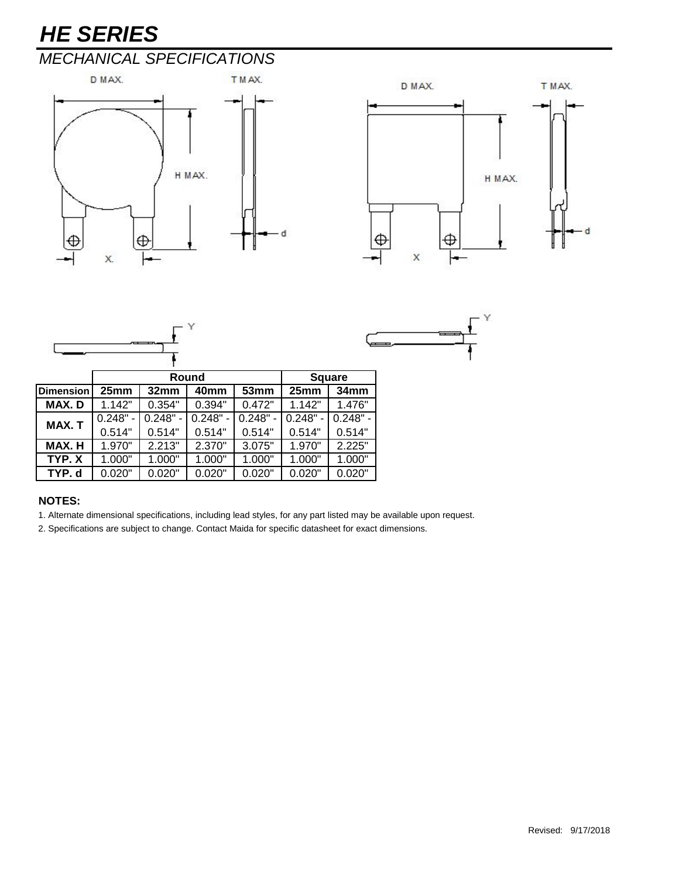# *HE SERIES*

# *MECHANICAL SPECIFICATIONS*







|                  |            | Round      | <b>Square</b> |                  |                  |            |  |
|------------------|------------|------------|---------------|------------------|------------------|------------|--|
| <b>Dimension</b> | 25mm       | 32mm       | 40mm          | 53 <sub>mm</sub> | 25 <sub>mm</sub> | 34mm       |  |
| MAX. D           | 1.142"     | 0.354"     | 0.394"        | 0.472"           | 1.142"           | 1.476"     |  |
| <b>MAX.T</b>     | $0.248" -$ | $0.248" -$ | $0.248" -$    | $0.248" -$       | $0.248" -$       | $0.248" -$ |  |
|                  | 0.514"     | 0.514"     | 0.514"        | 0.514"           | 0.514"           | 0.514"     |  |
| MAX. H           | 1.970"     | 2.213"     | 2.370"        | 3.075"           | 1.970"           | 2.225"     |  |
| TYP.X            | 1.000"     | 1.000"     | 1.000"        | 1.000"           | 1.000"           | 1.000"     |  |
| TYP. d           | 0.020"     | 0.020"     | 0.020"        | 0.020"           | 0.020"           | 0.020"     |  |

## **NOTES:**

1. Alternate dimensional specifications, including lead styles, for any part listed may be available upon request.

2. Specifications are subject to change. Contact Maida for specific datasheet for exact dimensions.